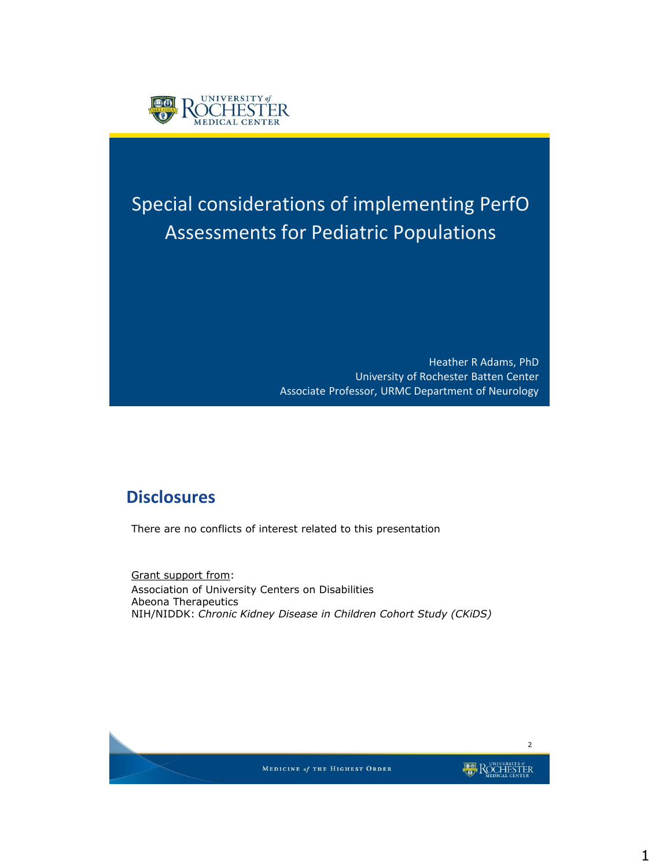

# Special considerations of implementing PerfO Assessments for Pediatric Populations

Heather R Adams, PhD University of Rochester Batten Center Associate Professor, URMC Department of Neurology

#### **Disclosures**

There are no conflicts of interest related to this presentation

Grant support from: Association of University Centers on Disabilities Abeona Therapeutics NIH/NIDDK: *Chronic Kidney Disease in Children Cohort Study (CKiDS)*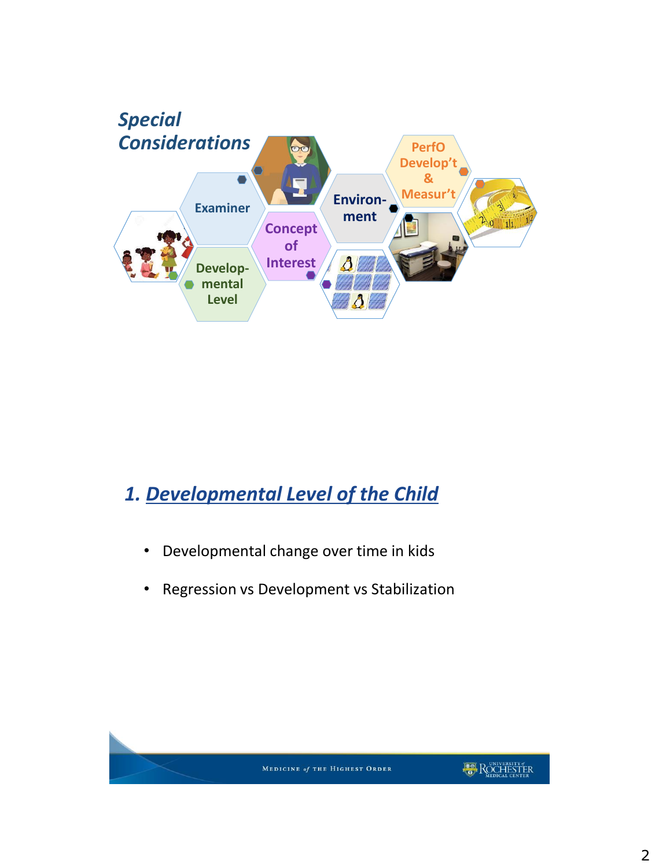

## *1. Developmental Level of the Child*

- Developmental change over time in kids
- Regression vs Development vs Stabilization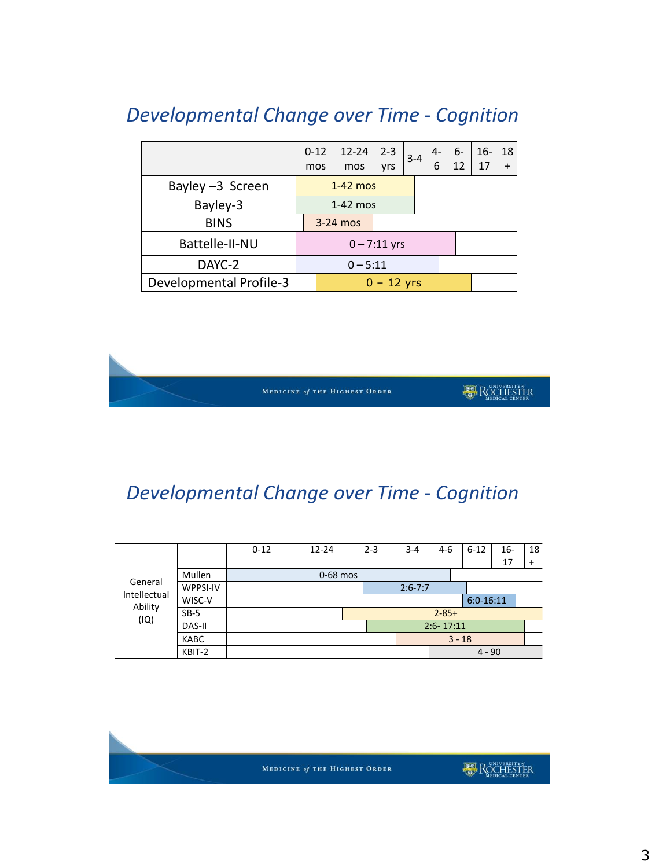|                         | $0 - 12$<br>mos |            | $12 - 24$<br>mos | $2 - 3$<br><b>vrs</b> | $3 - 4$ |  | $4-$<br>6 | 6-<br>12 | $16-$<br>17 | 18<br>$\ddot{}$ |
|-------------------------|-----------------|------------|------------------|-----------------------|---------|--|-----------|----------|-------------|-----------------|
| Bayley -3 Screen        |                 | $1-42$ mos |                  |                       |         |  |           |          |             |                 |
| Bayley-3                |                 | $1-42$ mos |                  |                       |         |  |           |          |             |                 |
| <b>BINS</b>             | $3-24$ mos      |            |                  |                       |         |  |           |          |             |                 |
| Battelle-II-NU          | $0 - 7:11$ yrs  |            |                  |                       |         |  |           |          |             |                 |
| DAYC-2                  | $0 - 5:11$      |            |                  |                       |         |  |           |          |             |                 |
| Developmental Profile-3 | $0 - 12$ yrs    |            |                  |                       |         |  |           |          |             |                 |

### *Developmental Change over Time - Cognition*

MEDICINE of THE HIGHEST ORDER

**DE ROCHESTER** 

## *Developmental Change over Time - Cognition*

| General<br>Intellectual<br>Ability<br>(IQ) |             | $0 - 12$   | $12 - 24$ |             | $2 - 3$ | $3 - 4$ | 4-6      |               | $6 - 12$    | $16-$ | 18  |  |
|--------------------------------------------|-------------|------------|-----------|-------------|---------|---------|----------|---------------|-------------|-------|-----|--|
|                                            |             |            |           |             |         |         |          |               |             | 17    | $+$ |  |
|                                            | Mullen      | 0-68 mos   |           |             |         |         |          |               |             |       |     |  |
|                                            | WPPSI-IV    |            |           | $2:6 - 7:7$ |         |         |          |               |             |       |     |  |
|                                            | WISC-V      |            |           |             |         |         |          |               | $6:0-16:11$ |       |     |  |
|                                            | $SB-5$      | $2 - 85 +$ |           |             |         |         |          |               |             |       |     |  |
|                                            | DAS-II      |            |           |             |         |         |          | $2:6 - 17:11$ |             |       |     |  |
|                                            | <b>KABC</b> |            |           |             |         |         | $3 - 18$ |               |             |       |     |  |
|                                            | KBIT-2      |            |           |             |         |         | $4 - 90$ |               |             |       |     |  |
|                                            |             |            |           |             |         |         |          |               |             |       |     |  |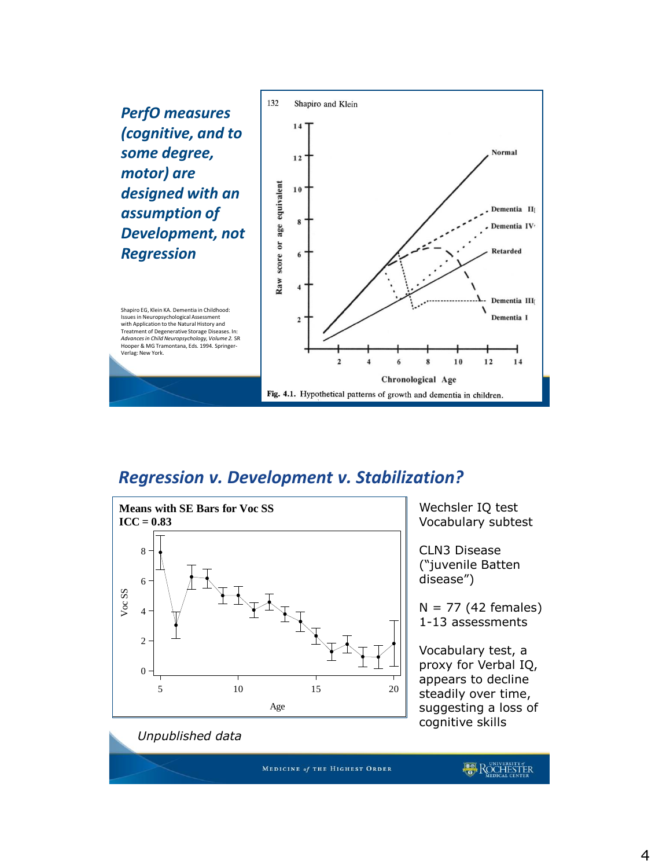*PerfO measures (cognitive, and to some degree, motor) are designed with an assumption of Development, not Regression*



Shapiro EG, Klein KA. Dementia in Childhood: Issues in Neuropsychological Assessment with Application to the Natural History and Treatment of Degenerative Storage Diseases. In: *Advances in Child Neuropsychology, Volume 2.* SR Hooper & MG Tramontana, Eds. 1994. Springer-Verlag: New York.

#### *Regression v. Development v. Stabilization?*



*Unpublished data*

Wechsler IQ test Vocabulary subtest

CLN3 Disease ("juvenile Batten disease")

 $N = 77$  (42 females) 1-13 assessments

Vocabulary test, a proxy for Verbal IQ, appears to decline steadily over time, suggesting a loss of cognitive skills

MEDICINE of THE HIGHEST ORDER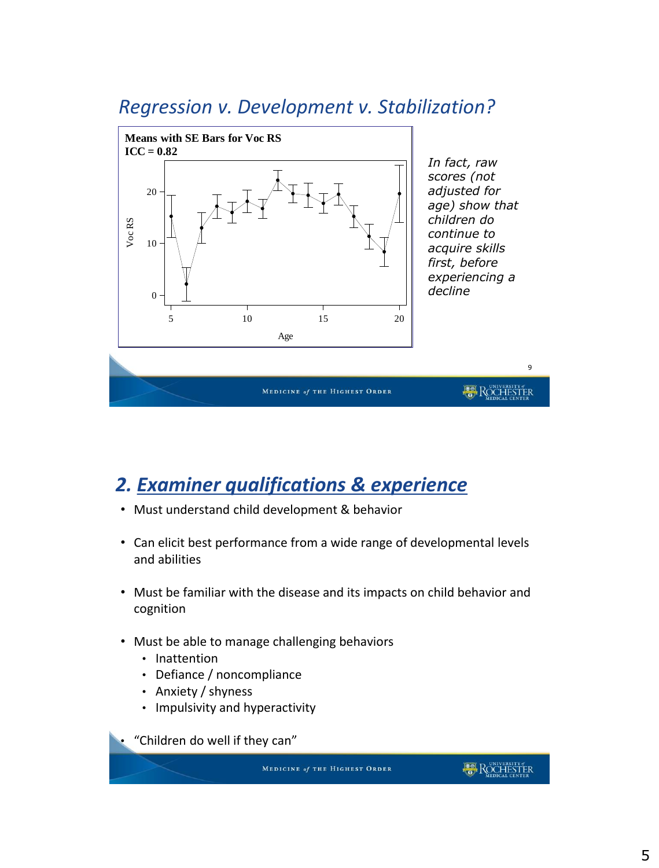



## *2. Examiner qualifications & experience*

- Must understand child development & behavior
- Can elicit best performance from a wide range of developmental levels and abilities
- Must be familiar with the disease and its impacts on child behavior and cognition
- Must be able to manage challenging behaviors
	- Inattention
	- Defiance / noncompliance
	- Anxiety / shyness
	- Impulsivity and hyperactivity

"Children do well if they can"

MEDICINE of THE HIGHEST ORDER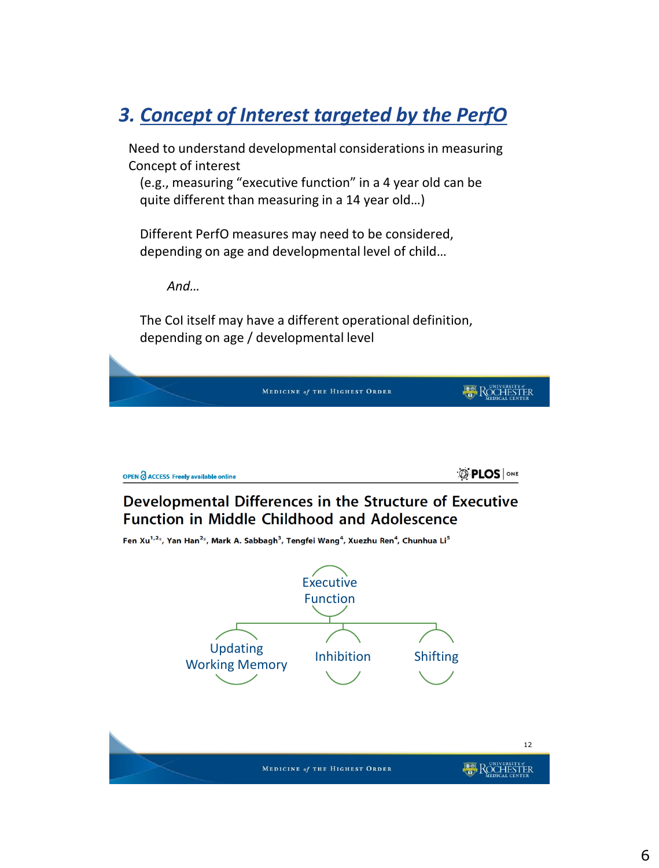## *3. Concept of Interest targeted by the PerfO*

Need to understand developmental considerations in measuring Concept of interest

(e.g., measuring "executive function" in a 4 year old can be quite different than measuring in a 14 year old…)

Different PerfO measures may need to be considered, depending on age and developmental level of child…

*And…*

The CoI itself may have a different operational definition, depending on age / developmental level

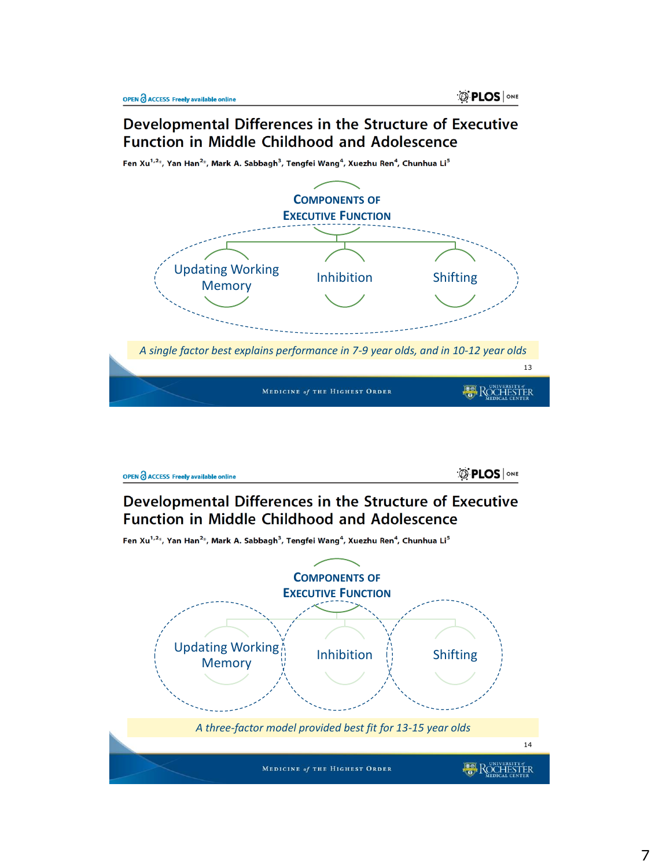#### Developmental Differences in the Structure of Executive **Function in Middle Childhood and Adolescence**

**COMPONENTS OF EXECUTIVE FUNCTION** Updating Working ating working<br>
Memory Memory *A single factor best explains performance in 7-9 year olds, and in 10-12 year olds* 13 ROCHESTER MEDICINE of THE HIGHEST ORDER

Fen Xu<sup>1,2\*</sup>, Yan Han<sup>2\*</sup>, Mark A. Sabbagh<sup>3</sup>, Tengfei Wang<sup>4</sup>, Xuezhu Ren<sup>4</sup>, Chunhua Li<sup>5</sup>



Developmental Differences in the Structure of Executive **Function in Middle Childhood and Adolescence** 

Fen Xu<sup>1,2\*</sup>, Yan Han<sup>2\*</sup>, Mark A. Sabbagh<sup>3</sup>, Tengfei Wang<sup>4</sup>, Xuezhu Ren<sup>4</sup>, Chunhua Li<sup>5</sup>

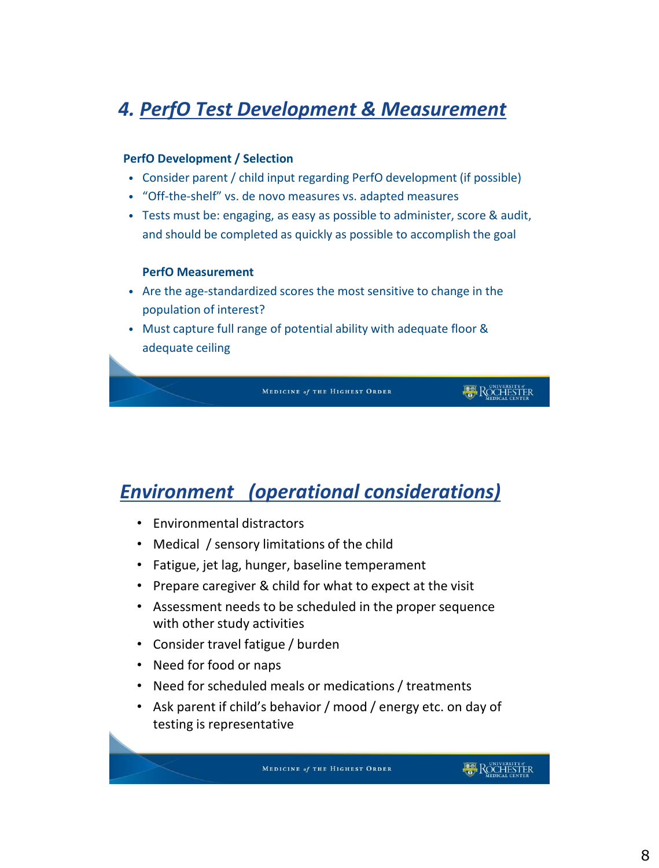#### *4. PerfO Test Development & Measurement*

#### **PerfO Development / Selection**

- Consider parent / child input regarding PerfO development (if possible)
- "Off-the-shelf" vs. de novo measures vs. adapted measures
- Tests must be: engaging, as easy as possible to administer, score & audit, and should be completed as quickly as possible to accomplish the goal

#### **PerfO Measurement**

- Are the age-standardized scores the most sensitive to change in the population of interest?
- Must capture full range of potential ability with adequate floor & adequate ceiling

MEDICINE of THE HIGHEST ORDER

**ROCHESTER** 

#### *Environment (operational considerations)*

- Environmental distractors
- Medical / sensory limitations of the child
- Fatigue, jet lag, hunger, baseline temperament
- Prepare caregiver & child for what to expect at the visit
- Assessment needs to be scheduled in the proper sequence with other study activities
- Consider travel fatigue / burden
- Need for food or naps
- Need for scheduled meals or medications / treatments
- Ask parent if child's behavior / mood / energy etc. on day of testing is representative